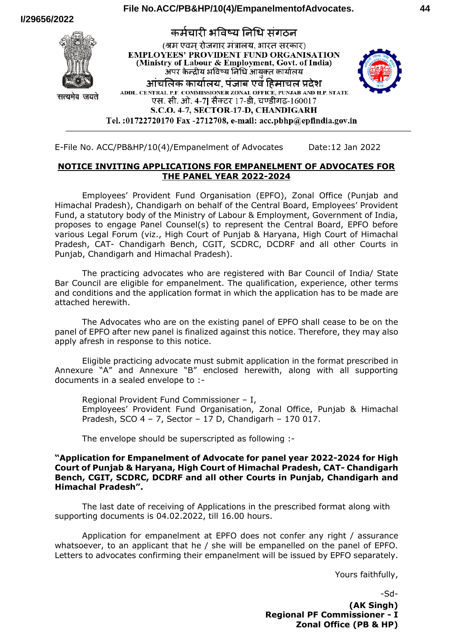#### **I/29656/2022** कर्मचारी भविष्य निधि संगठन (श्रम एवम रोजगार मंत्रालय. भारत सरकार) **EMPLOYEES' PROVIDENT FUND ORGANISATION** (Ministry of Labour & Employment, Govt. of India) अपर केन्द्रीय भविष्य निधि आयक्त कार्यालय आंचलिक कार्यालय. पंजाब एवं हिमाचल प्रदेश ADDL. CENTRAL P.F. COMMISSIONER ZONAL OFFICE. PUNJAB AND H.P. STATE सत्यमेव जयते एस. सी. ओ. 4-7] सैक्टर 17-डी, चण्डीगढ़-160017 S.C.O. 4-7, SECTOR-17-D, CHANDIGARH Tel.:01722720170 Fax -2712708, e-mail: acc.pbhp@epfindia.gov.in



## **NOTICE INVITING APPLICATIONS FOR EMPANELMENT OF ADVOCATES FOR THE PANEL YEAR 2022-2024**

Employees' Provident Fund Organisation (EPFO), Zonal Office (Punjab and Himachal Pradesh), Chandigarh on behalf of the Central Board, Employees' Provident Fund, a statutory body of the Ministry of Labour & Employment, Government of India, proposes to engage Panel Counsel(s) to represent the Central Board, EPFO before various Legal Forum (viz., High Court of Punjab & Haryana, High Court of Himachal Pradesh, CAT- Chandigarh Bench, CGIT, SCDRC, DCDRF and all other Courts in Punjab, Chandigarh and Himachal Pradesh).

The practicing advocates who are registered with Bar Council of India/ State Bar Council are eligible for empanelment. The qualification, experience, other terms and conditions and the application format in which the application has to be made are attached herewith.

The Advocates who are on the existing panel of EPFO shall cease to be on the panel of EPFO after new panel is finalized against this notice. Therefore, they may also apply afresh in response to this notice.

Eligible practicing advocate must submit application in the format prescribed in Annexure "A" and Annexure "B" enclosed herewith, along with all supporting documents in a sealed envelope to :-

Regional Provident Fund Commissioner – I, Employees' Provident Fund Organisation, Zonal Office, Punjab & Himachal Pradesh, SCO 4 – 7, Sector – 17 D, Chandigarh – 170 017.

The envelope should be superscripted as following :-

### **"Application for Empanelment of Advocate for panel year 2022-2024 for High Court of Punjab & Haryana, High Court of Himachal Pradesh, CAT- Chandigarh Bench, CGIT, SCDRC, DCDRF and all other Courts in Punjab, Chandigarh and Himachal Pradesh".**

The last date of receiving of Applications in the prescribed format along with supporting documents is 04.02.2022, till 16.00 hours.

Application for empanelment at EPFO does not confer any right / assurance whatsoever, to an applicant that he / she will be empanelled on the panel of EPFO. Letters to advocates confirming their empanelment will be issued by EPFO separately.

Yours faithfully,

-Sd- **(AK Singh) Regional PF Commissioner - I Zonal Office (PB & HP)**

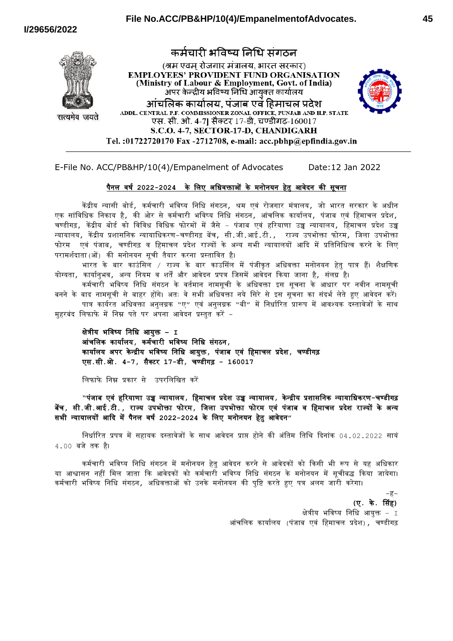



E-File No. ACC/PB&HP/10(4)/Empanelment of Advocates Date:12 Jan 2022

### पैनल वर्ष **2022-2024** के ललए अलिवक्ताओं के मनोनयन हेतु आवेदन की सूचना

Tel.:01722720170 Fax -2712708, e-mail: acc.pbhp@epfindia.gov.in

केंद्रीय न्यासी बोर्ड, कर्मचारी भविष्य निधि संगठन, श्रम एवं रोजगार मंत्रालय, जो भारत सरकार के अधीन एक सांविधिक निकाय है, की ओर से कर्मचारी भविष्य निधि संगठन, आंचलिक कार्यालय, पंजाब एवं हिमाचल प्रदेश, चण्डीगढ़, केंद्रीय बोर्ड को विविध विधिक फोरमों में जैसे – पंजाब एवं हरियाणा उच्च न्यायालय, हिमाचल प्रदेश उच्च न्यायालय, कें द्रीय प्रशासलनक न्यायालिकरण-चण्र्ीगढ़ बेंच, सी.जी.आई.टी., राज्य उपभोक्ता फोरम, लजला उपभोक्ता फोरम एवं पंजाब, चण्र्ीगढ़ व लहमाचल प्रदेश राज्यों के अन्य सभी न्यायालयों आदद में प्रलतलनलित्व करने के ललए परामशषदाता(ओं) की मनोनयन सूची तैयार करना प्रस्तालवत है।

भारत के बार काउंसिल / राज्य के बार काउसिंल में पंजीकत अधिवक्ता मनोनयन हेत पात्र हैं। शैक्षणिक योग्यता*,* कार्यानुभव*,* अन्य नियम व शर्तें और आवेदन प्रपत्र जिसमें आवेदन किया जाना है*,* संलग्न है।

कर्मचारी भविष्य निधि संगठन के वर्तमान नामसूची के अधिवक्ता इस सूचना के आधार पर नवीन नामसूची बनने के बाद नामसूची से बाहर होंगे। अतः वे सभी अधिवक्ता नये सिरे से इस सूचना का संदर्भ लेते हुए आवेदन करें। पात्र कार्यरत अधिवक्ता अनुलग्नक "ए″ एवं अनुलग्नक "बी″ में निर्धारित प्रारूप में आवश्यक दस्तावेजों के साथ

महरबंद लिफाफे में निम्न पते पर अपना आवेदन प्रस्तुत करें –

क्षेत्रीय भलवष्य लनलि आयुक्त **– I** आंचललक कायाषलय**,** कमषचारी भलवष्य लनलि संगठन**,** कायाषलय अपर के न्द्रीय भलवष्य लनलि आयुक्त**,** पंजाब एवं लहमाचल प्रदेश**,** चण्र्ीगढ़ एस**.**सी**.**ओ**. 4-7,** सैक्टर **17-**र्ी**,** चण्र्ीगढ़ **- 160017**

ललफाफे लनम्न प्रकार से उपरलललित करें

**"**पंजाब एवं हररयाणा उच्च न्यायालय**,** लहमाचल प्रदेश उच्च न्यायालय**,** के न्द्रीय प्रशासलनक न्यायालिकरण**-**चण्र्ीगढ़ बेंच**,** सी**.**जी**.**आई**.**टी**.,** राज्य उपभोक्ता फोरम**,** लजला उपभोक्ता फोरम एवं पंजाब व लहमाचल प्रदेश राज्यों के अन्य सभी न्यायालयों आदद मेंपैनल वर्ष **2022-2024** के ललए मनोनयन हेतु आवेदन**"**

निर्धारित प्रपत्र में सहायक दस्तावेजों के साथ आवेदन प्राप्त होने की अंतिम तिथि दिनांक 04.02.2022 सायं 4.00 बजे तक है।

कर्मचारी भविष्य निधि संगठन में मनोनयन हेतु आवेदन करने से आवेदकों को किसी भी रूप से यह अधिकार या आश्वासन नहीं मिल जाता कि आवेदकों को कर्मचारी भविष्य निधि संगठन के मनोनयन में सूचीबद्ध किया जायेगा। कमषचारी भलवष्य लनलि संगठन, अलिवक्ताओं को उनके मनोनयन की पुलि करते हुए पत्र अलग जारी करेगा।

> **(**ए**.** के**.** ससंह**)** क्षेत्रीय भविष्य निधि आयुक्त - I आंचललक कायाषलय (पंजाब एवं लहमाचल प्रदेश), चण्र्ीगढ़

-ह-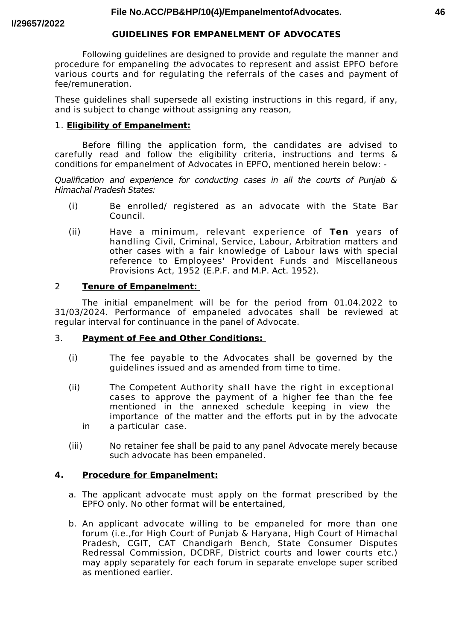### **GUIDELINES FOR EMPANELMENT OF ADVOCATES**

Following guidelines are designed to provide and regulate the manner and procedure for empaneling the advocates to represent and assist EPFO before various courts and for regulating the referrals of the cases and payment of fee/remuneration.

These guidelines shall supersede all existing instructions in this regard, if any, and is subject to change without assigning any reason,

## 1. **Eligibility of Empanelment:**

Before flling the application form, the candidates are advised to carefully read and follow the eligibility criteria, instructions and terms & conditions for empanelment of Advocates in EPFO, mentioned herein below: -

Qualifcation and experience for conducting cases in all the courts of Punjab & Himachal Pradesh States:

- (i) Be enrolled/ registered as an advocate with the State Bar Council.
- (ii) Have a minimum, relevant experience of **Ten** years of handling Civil, Criminal, Service, Labour, Arbitration matters and other cases with a fair knowledge of Labour laws with special reference to Employees' Provident Funds and Miscellaneous Provisions Act, 1952 (E.P.F. and M.P. Act. 1952).

### 2 **Tenure of Empanelment:**

The initial empanelment will be for the period from 01.04.2022 to 31/03/2024. Performance of empaneled advocates shall be reviewed at regular interval for continuance in the panel of Advocate.

## 3. **Payment of Fee and Other Conditions:**

- (i) The fee payable to the Advocates shall be governed by the guidelines issued and as amended from time to time.
- (ii) The Competent Authority shall have the right in exceptional cases to approve the payment of a higher fee than the fee mentioned in the annexed schedule keeping in view the importance of the matter and the eforts put in by the advocate in a particular case.
- (iii) No retainer fee shall be paid to any panel Advocate merely because such advocate has been empaneled.

### **4. Procedure for Empanelment:**

- a. The applicant advocate must apply on the format prescribed by the EPFO only. No other format will be entertained,
- b. An applicant advocate willing to be empaneled for more than one forum (i.e.,for High Court of Punjab & Haryana, High Court of Himachal Pradesh, CGIT, CAT Chandigarh Bench, State Consumer Disputes Redressal Commission, DCDRF, District courts and lower courts etc.) may apply separately for each forum in separate envelope super scribed as mentioned earlier.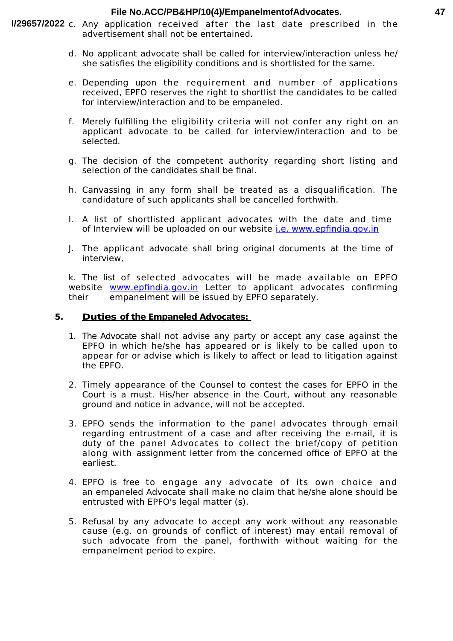### **File No.ACC/PB&HP/10(4)/EmpanelmentofAdvocates.**

- I/29657/2022 c. Any application received after the last date prescribed in the advertisement shall not be entertained.
	- d. No applicant advocate shall be called for interview/interaction unless he/ she satisfes the eligibility conditions and is shortlisted for the same.
	- e. Depending upon the requirement and number of applications received, EPFO reserves the right to shortlist the candidates to be called for interview/interaction and to be empaneled.
	- f. Merely fulflling the eligibility criteria will not confer any right on an applicant advocate to be called for interview/interaction and to be selected.
	- g. The decision of the competent authority regarding short listing and selection of the candidates shall be final.
	- h. Canvassing in any form shall be treated as a disqualifcation. The candidature of such applicants shall be cancelled forthwith.
	- I. A list of shortlisted applicant advocates with the date and time of Interview will be uploaded on our website [i.e. www.epfndia.gov.in](http://i.e.www.epfindia.gov.in/)
	- J. The applicant advocate shall bring original documents at the time of interview,

k. The list of selected advocates will be made available on EPFO website www.epfindia.gov.in Letter to applicant advocates confirming their empanelment will be issued by EPFO separately.

## **5. Duties of the Empaneled Advocates:**

- 1. The Advocate shall not advise any party or accept any case against the EPFO in which he/she has appeared or is likely to be called upon to appear for or advise which is likely to afect or lead to litigation against the EPFO.
- 2. Timely appearance of the Counsel to contest the cases for EPFO in the Court is a must. His/her absence in the Court, without any reasonable ground and notice in advance, will not be accepted.
- 3. EPFO sends the information to the panel advocates through email regarding entrustment of a case and after receiving the e-mail, it is duty of the panel Advocates to collect the brief/copy of petition along with assignment letter from the concerned office of EPFO at the earliest.
- 4. EPFO is free to engage any advocate of its own choice and an empaneled Advocate shall make no claim that he/she alone should be entrusted with EPFO's legal matter (s).
- 5. Refusal by any advocate to accept any work without any reasonable cause (e.g. on grounds of confict of interest) may entail removal of such advocate from the panel, forthwith without waiting for the empanelment period to expire.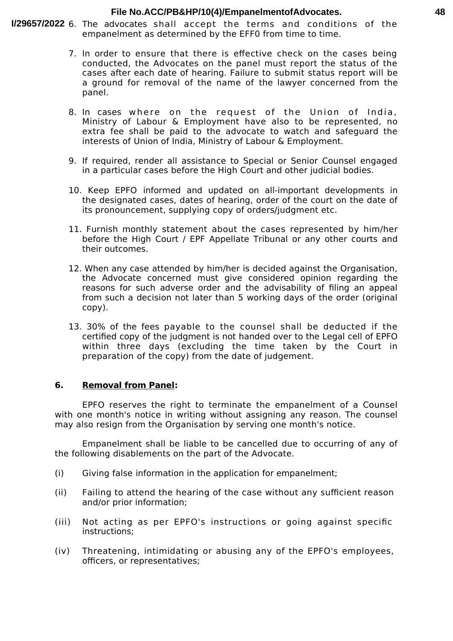#### **File No.ACC/PB&HP/10(4)/EmpanelmentofAdvocates.**

- I/29657/2022 6. The advocates shall accept the terms and conditions of the empanelment as determined by the EFF0 from time to time.
	- 7. In order to ensure that there is efective check on the cases being conducted, the Advocates on the panel must report the status of the cases after each date of hearing. Failure to submit status report will be a ground for removal of the name of the lawyer concerned from the panel.
	- 8. In cases where on the request of the Union of India, Ministry of Labour & Employment have also to be represented, no extra fee shall be paid to the advocate to watch and safeguard the interests of Union of India, Ministry of Labour & Employment.
	- 9. If required, render all assistance to Special or Senior Counsel engaged in a particular cases before the High Court and other judicial bodies.
	- 10. Keep EPFO informed and updated on all-important developments in the designated cases, dates of hearing, order of the court on the date of its pronouncement, supplying copy of orders/judgment etc.
	- 11. Furnish monthly statement about the cases represented by him/her before the High Court / EPF Appellate Tribunal or any other courts and their outcomes.
	- 12. When any case attended by him/her is decided against the Organisation, the Advocate concerned must give considered opinion regarding the reasons for such adverse order and the advisability of fling an appeal from such a decision not later than 5 working days of the order (original copy).
	- 13. 30% of the fees payable to the counsel shall be deducted if the certifed copy of the judgment is not handed over to the Legal cell of EPFO within three days (excluding the time taken by the Court in preparation of the copy) from the date of judgement.

### **6. Removal from Panel:**

EPFO reserves the right to terminate the empanelment of a Counsel with one month's notice in writing without assigning any reason. The counsel may also resign from the Organisation by serving one month's notice.

Empanelment shall be liable to be cancelled due to occurring of any of the following disablements on the part of the Advocate.

- (i) Giving false information in the application for empanelment;
- (ii) Failing to attend the hearing of the case without any sufficient reason and/or prior information;
- (iii) Not acting as per EPFO's instructions or going against specifc instructions;
- (iv) Threatening, intimidating or abusing any of the EPFO's employees, officers, or representatives;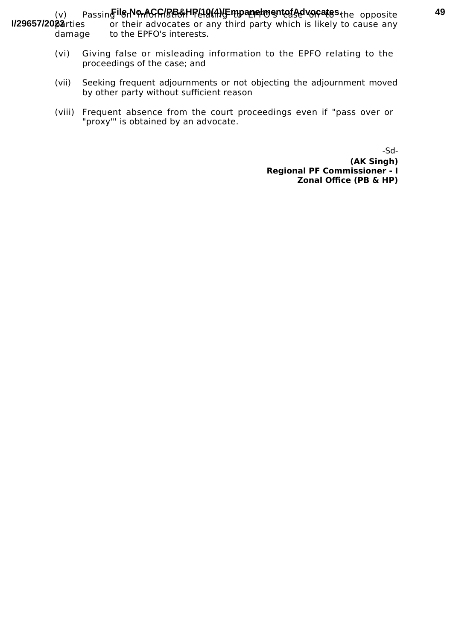(v) Passin**gilerNorAGG/BB&HP(10(A)/EmpanelmentofAdvocates.**the opposite or their advocates or any third party which is likely to cause any damage to the EPFO's interests. **I/29657/2022**

- (vi) Giving false or misleading information to the EPFO relating to the proceedings of the case; and
- (vii) Seeking frequent adjournments or not objecting the adjournment moved by other party without sufficient reason
- (viii) Frequent absence from the court proceedings even if "pass over or "proxy"' is obtained by an advocate.

-Sd- **(AK Singh) Regional PF Commissioner - I Zonal Office (PB & HP)**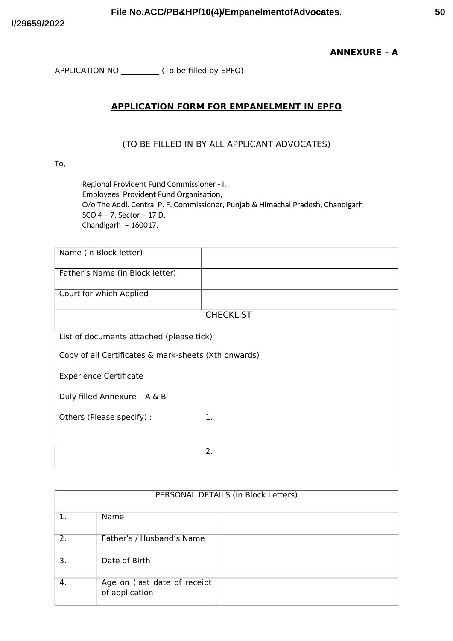## **ANNEXURE - A**

APPLICATION NO. \_\_\_\_\_\_\_\_\_\_ (To be filled by EPFO)

# **APPLICATION FORM FOR EMPANELMENT IN EPFO**

## (TO BE FILLED IN BY ALL APPLICANT ADVOCATES)

To,

Regional Provident Fund Commissioner - I, Employees' Provident Fund Organisation, O/o The Addl. Central P. F. Commissioner, Punjab & Himachal Pradesh, Chandigarh SCO 4 - 7, Sector - 17 D, Chandigarh - 160017.

| Name (in Block letter)                               |                  |  |
|------------------------------------------------------|------------------|--|
| Father's Name (in Block letter)                      |                  |  |
| Court for which Applied                              |                  |  |
|                                                      | <b>CHECKLIST</b> |  |
| List of documents attached (please tick)             |                  |  |
| Copy of all Certificates & mark-sheets (Xth onwards) |                  |  |
| <b>Experience Certificate</b>                        |                  |  |
| Duly filled Annexure - A & B                         |                  |  |
| Others (Please specify) :                            | 1.               |  |
|                                                      |                  |  |
|                                                      | 2.               |  |

| PERSONAL DETAILS (In Block Letters) |                                                |  |
|-------------------------------------|------------------------------------------------|--|
|                                     | Name                                           |  |
| 2.                                  | Father's / Husband's Name                      |  |
| 3.                                  | Date of Birth                                  |  |
| 4.                                  | Age on (last date of receipt<br>of application |  |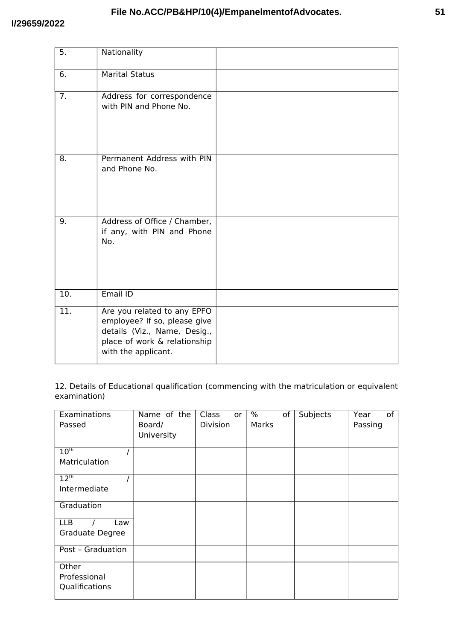### I/29659/2022

| 5.               | Nationality                                                                                                                                        |  |
|------------------|----------------------------------------------------------------------------------------------------------------------------------------------------|--|
| 6.               | <b>Marital Status</b>                                                                                                                              |  |
| $\overline{7}$ . | Address for correspondence<br>with PIN and Phone No.                                                                                               |  |
| 8.               | Permanent Address with PIN<br>and Phone No.                                                                                                        |  |
| 9.               | Address of Office / Chamber,<br>if any, with PIN and Phone<br>No.                                                                                  |  |
| 10.              | Email ID                                                                                                                                           |  |
| 11.              | Are you related to any EPFO<br>employee? If so, please give<br>details (Viz., Name, Desig.,<br>place of work & relationship<br>with the applicant. |  |

12. Details of Educational qualification (commencing with the matriculation or equivalent examination)

| Examinations<br>Passed            | Name of the<br>Board/<br>University | Class<br>or<br>Division | $\%$<br>of<br>Marks | <b>Subjects</b> | of<br>Year<br>Passing |
|-----------------------------------|-------------------------------------|-------------------------|---------------------|-----------------|-----------------------|
| 10 <sup>th</sup><br>Matriculation |                                     |                         |                     |                 |                       |
|                                   |                                     |                         |                     |                 |                       |
| 12 <sup>th</sup>                  |                                     |                         |                     |                 |                       |
| Intermediate                      |                                     |                         |                     |                 |                       |
| Graduation                        |                                     |                         |                     |                 |                       |
| <b>LLB</b><br>Law                 |                                     |                         |                     |                 |                       |
| Graduate Degree                   |                                     |                         |                     |                 |                       |
| Post - Graduation                 |                                     |                         |                     |                 |                       |
| Other                             |                                     |                         |                     |                 |                       |
| Professional                      |                                     |                         |                     |                 |                       |
| Qualifications                    |                                     |                         |                     |                 |                       |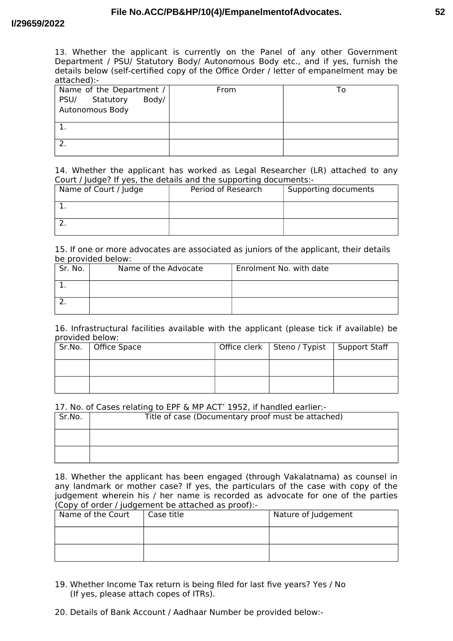#### I/29659/2022

13. Whether the applicant is currently on the Panel of any other Government Department / PSU/ Statutory Body/ Autonomous Body etc., and if yes, furnish the details below (self-certified copy of the Office Order / letter of empanelment may be attached):-

| Name of the Department /   | From | ı o |
|----------------------------|------|-----|
| Statutory<br>Body/<br>PSU/ |      |     |
| <b>Autonomous Body</b>     |      |     |
|                            |      |     |
|                            |      |     |
|                            |      |     |
| -2.                        |      |     |
|                            |      |     |

14. Whether the applicant has worked as Legal Researcher (LR) attached to any Court / Judge? If yes, the details and the supporting documents:-

| Name of Court / Judge | Period of Research | Supporting documents |
|-----------------------|--------------------|----------------------|
|                       |                    |                      |
|                       |                    |                      |

#### 15. If one or more advocates are associated as juniors of the applicant, their details be provided below:

| Sr. No. | Name of the Advocate | Enrolment No. with date |
|---------|----------------------|-------------------------|
|         |                      |                         |
|         |                      |                         |

16. Infrastructural facilities available with the applicant (please tick if available) be provided below:

| Sr.No.   Office Space | Office clerk   Steno / Typist   Support Staff |  |
|-----------------------|-----------------------------------------------|--|
|                       |                                               |  |
|                       |                                               |  |

#### 17. No. of Cases relating to EPF & MP ACT' 1952, if handled earlier:-

| Sr.No. | Title of case (Documentary proof must be attached) |
|--------|----------------------------------------------------|
|        |                                                    |
|        |                                                    |

18. Whether the applicant has been engaged (through Vakalatnama) as counsel in any landmark or mother case? If yes, the particulars of the case with copy of the judgement wherein his / her name is recorded as advocate for one of the parties (Copy of order / judgement be attached as proof):-

| Name of the Court | Case title | Nature of Judgement |
|-------------------|------------|---------------------|
|                   |            |                     |
|                   |            |                     |

- 19. Whether Income Tax return is being filed for last five years? Yes / No (If yes, please attach copes of ITRs).
- 20. Details of Bank Account / Aadhaar Number be provided below:-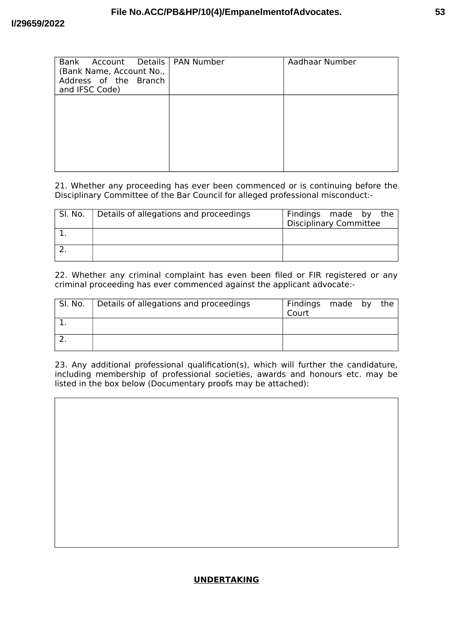| Bank Account Details   PAN Number<br>(Bank Name, Account No.,<br>Address of the Branch<br>and IFSC Code) | Aadhaar Number |
|----------------------------------------------------------------------------------------------------------|----------------|
|                                                                                                          |                |
|                                                                                                          |                |

21. Whether any proceeding has ever been commenced or is continuing before the Disciplinary Committee of the Bar Council for alleged professional misconduct:-

| Sl. No. | Details of allegations and proceedings | Findings made by the<br><b>Disciplinary Committee</b> |
|---------|----------------------------------------|-------------------------------------------------------|
|         |                                        |                                                       |
|         |                                        |                                                       |

22. Whether any criminal complaint has even been filed or FIR registered or any criminal proceeding has ever commenced against the applicant advocate:-

| , Sl. No. | Details of allegations and proceedings | Findings made by<br>Court |  | the |
|-----------|----------------------------------------|---------------------------|--|-----|
|           |                                        |                           |  |     |
|           |                                        |                           |  |     |

23. Any additional professional qualification(s), which will further the candidature, including membership of professional societies, awards and honours etc. may be listed in the box below (Documentary proofs may be attached):

### **UNDERTAKING**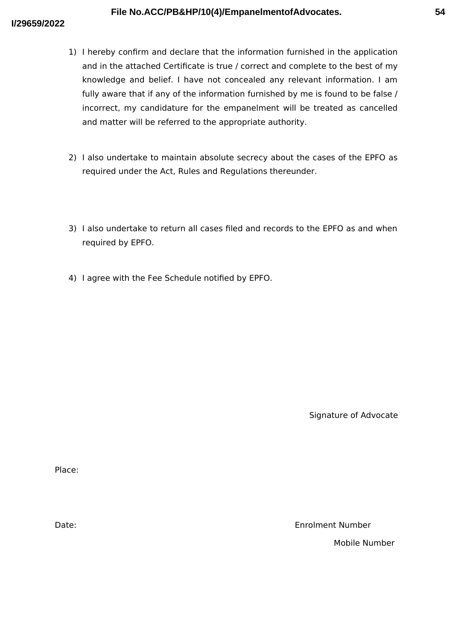- 1) I hereby confirm and declare that the information furnished in the application and in the attached Certificate is true / correct and complete to the best of my knowledge and belief. I have not concealed any relevant information. I am fully aware that if any of the information furnished by me is found to be false / incorrect, my candidature for the empanelment will be treated as cancelled and matter will be referred to the appropriate authority.
- 2) I also undertake to maintain absolute secrecy about the cases of the EPFO as required under the Act, Rules and Regulations thereunder.
- 3) I also undertake to return all cases filed and records to the EPFO as and when required by EPFO.
- 4) I agree with the Fee Schedule notified by EPFO.

Signature of Advocate

Place:

Date:

**Enrolment Number** 

Mobile Number